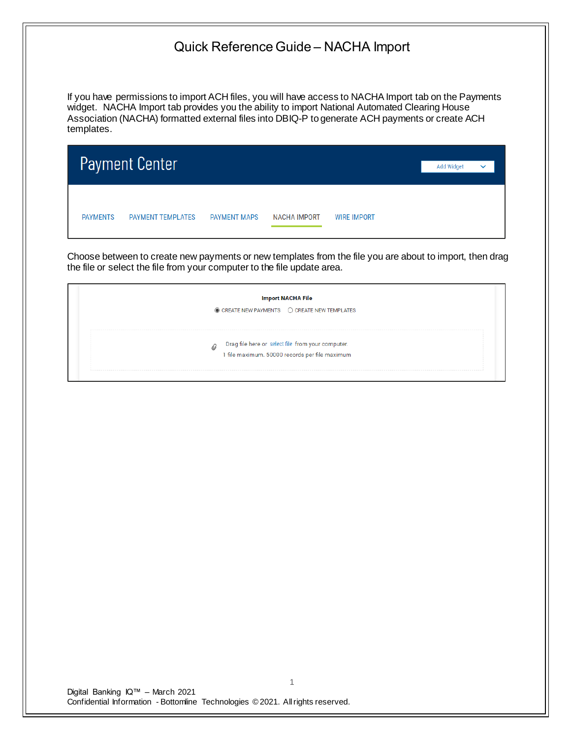If you have permissions to import ACH files, you will have access to NACHA Import tab on the Payments widget. NACHA Import tab provides you the ability to import National Automated Clearing House Association (NACHA) formatted external files into DBIQ-P to generate ACH payments or create ACH templates.

|                 | <b>Payment Center</b>    |                     |                     |                    | Add Widget | $\checkmark$ |  |
|-----------------|--------------------------|---------------------|---------------------|--------------------|------------|--------------|--|
| <b>PAYMENTS</b> | <b>PAYMENT TEMPLATES</b> | <b>PAYMENT MAPS</b> | <b>NACHA IMPORT</b> | <b>WIRE IMPORT</b> |            |              |  |

Choose between to create new payments or new templates from the file you are about to import, then drag the file or select the file from your computer to the file update area.

| $\circledcirc$ CREATE NEW PAYMENTS $\circledcirc$ CREATE NEW TEMPLATES |                                                                                                     |  |
|------------------------------------------------------------------------|-----------------------------------------------------------------------------------------------------|--|
|                                                                        |                                                                                                     |  |
|                                                                        |                                                                                                     |  |
|                                                                        |                                                                                                     |  |
|                                                                        |                                                                                                     |  |
|                                                                        |                                                                                                     |  |
| 0                                                                      | Drag file here or select file from your computer.<br>1 file maximum. 50000 records per file maximum |  |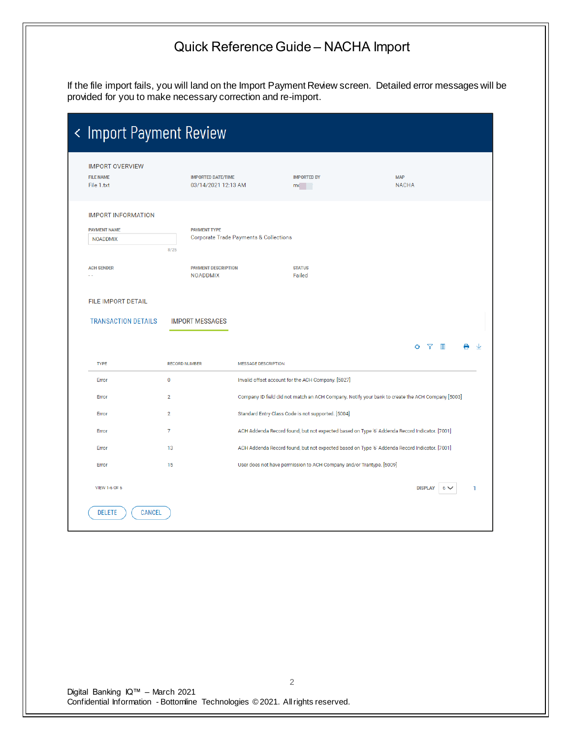If the file import fails, you will land on the Import Payment Review screen. Detailed error messages will be provided for you to make necessary correction and re-import.

| < Import Payment Review                                                |                                                  |                                                   |                                                                      |                                                                                                  |   |
|------------------------------------------------------------------------|--------------------------------------------------|---------------------------------------------------|----------------------------------------------------------------------|--------------------------------------------------------------------------------------------------|---|
| <b>IMPORT OVERVIEW</b><br><b>FILE NAME</b><br>File 1.txt               | <b>IMPORTED DATE/TIME</b><br>03/14/2021 12:13 AM |                                                   | <b>IMPORTED BY</b><br>mc <sub>o</sub>                                | <b>MAP</b><br><b>NACHA</b>                                                                       |   |
| <b>IMPORT INFORMATION</b><br><b>PAYMENT NAME</b><br><b>NOADDMIX</b>    | <b>PAYMENT TYPE</b><br>8/25                      | <b>Corporate Trade Payments &amp; Collections</b> |                                                                      |                                                                                                  |   |
| <b>ACH SENDER</b><br>- -                                               | <b>PAYMENT DESCRIPTION</b><br><b>NOADDMIX</b>    |                                                   | <b>STATUS</b><br>Failed                                              |                                                                                                  |   |
| <b>FILE IMPORT DETAIL</b><br><b>TRANSACTION DETAILS</b><br><b>TYPE</b> | <b>IMPORT MESSAGES</b><br><b>RECORD NUMBER</b>   | <b>MESSAGE DESCRIPTION</b>                        |                                                                      | $\blacksquare$<br>O <sub>T</sub>                                                                 |   |
| Error                                                                  | $\mathbf 0$                                      |                                                   | Invalid offset account for the ACH Company. [5027]                   |                                                                                                  |   |
| Error                                                                  | $\overline{2}$                                   |                                                   |                                                                      | Company ID field did not match an ACH Company. Notify your bank to create the ACH Company [5003] |   |
| Error                                                                  | $\overline{2}$                                   |                                                   | Standard Entry Class Code is not supported. [5004]                   |                                                                                                  |   |
| Error                                                                  | $\overline{7}$                                   |                                                   |                                                                      | ACH Addenda Record found, but not expected based on Type '6' Addenda Record Indicator. [7001]    |   |
| Error                                                                  | 13                                               |                                                   |                                                                      | ACH Addenda Record found, but not expected based on Type '6' Addenda Record Indicator. [7001]    |   |
| Error                                                                  | 15                                               |                                                   | User does not have permission to ACH Company and/or Trantype. [5009] |                                                                                                  |   |
| <b>VIEW 1-6 OF 6</b>                                                   |                                                  |                                                   |                                                                      | <b>DISPLAY</b><br>$6\sqrt{ }$                                                                    | 1 |
| <b>DELETE</b><br><b>CANCEL</b>                                         |                                                  |                                                   |                                                                      |                                                                                                  |   |
|                                                                        |                                                  |                                                   |                                                                      |                                                                                                  |   |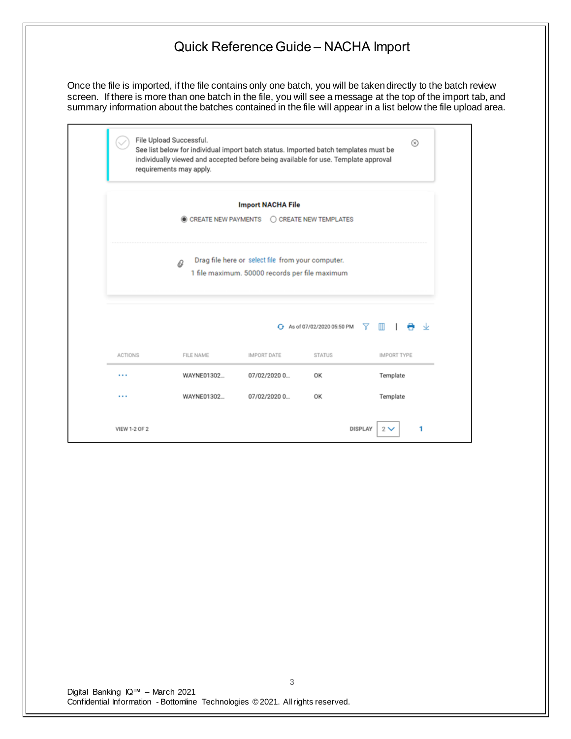Once the file is imported, if the file contains only one batch, you will be taken directly to the batch review screen. If there is more than one batch in the file, you will see a message at the top of the import tab, and summary information about the batches contained in the file will appear in a list below the file upload area.

|                | File Upload Successful.<br>See list below for individual import batch status. Imported batch templates must be<br>individually viewed and accepted before being available for use. Template approval<br>requirements may apply. |                                            |                                  | ⊗                  |  |  |  |
|----------------|---------------------------------------------------------------------------------------------------------------------------------------------------------------------------------------------------------------------------------|--------------------------------------------|----------------------------------|--------------------|--|--|--|
|                |                                                                                                                                                                                                                                 | <b>Import NACHA File</b>                   |                                  |                    |  |  |  |
|                |                                                                                                                                                                                                                                 | CREATE NEW PAYMENTS C CREATE NEW TEMPLATES |                                  |                    |  |  |  |
|                | Drag file here or select file from your computer.<br>a<br>1 file maximum. 50000 records per file maximum                                                                                                                        |                                            |                                  |                    |  |  |  |
|                |                                                                                                                                                                                                                                 |                                            | ← As of 07/02/2020 05:50 PM<br>Y | m<br>والباز<br>ື   |  |  |  |
|                | FILE NAME                                                                                                                                                                                                                       | <b>IMPORT DATE</b>                         |                                  | <b>IMPORT TYPE</b> |  |  |  |
| <b>ACTIONS</b> |                                                                                                                                                                                                                                 |                                            | <b>STATUS</b>                    |                    |  |  |  |
|                | WAYNE01302                                                                                                                                                                                                                      | 07/02/2020 0                               | OK                               | Template           |  |  |  |
|                | WAYNE01302                                                                                                                                                                                                                      | 07/02/2020 0                               | OK                               | Template           |  |  |  |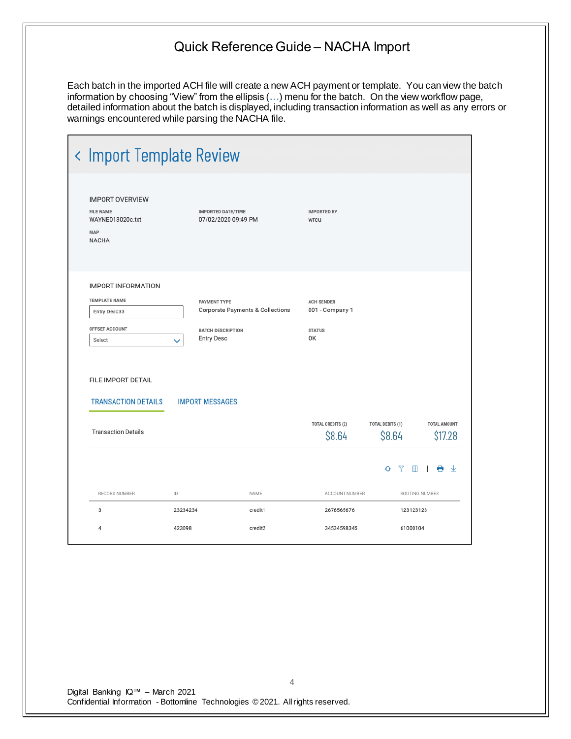Each batch in the imported ACH file will create a new ACH payment or template. You can view the batch information by choosing "View" from the ellipsis (**…**) menu for the batch. On the view workflow page, detailed information about the batch is displayed, including transaction information as well as any errors or warnings encountered while parsing the NACHA file.

| < Import Template Review                                                                                            |                                                                                      |                                  |                                                             |                                   |                                |
|---------------------------------------------------------------------------------------------------------------------|--------------------------------------------------------------------------------------|----------------------------------|-------------------------------------------------------------|-----------------------------------|--------------------------------|
| <b>IMPORT OVERVIEW</b><br><b>FILE NAME</b><br>WAYNE013020c.txt<br>MAP<br><b>NACHA</b>                               | <b>IMPORTED DATE/TIME</b><br>07/02/2020 09:49 PM                                     |                                  | <b>IMPORTED BY</b><br>wrcu                                  |                                   |                                |
| <b>IMPORT INFORMATION</b><br><b>TEMPLATE NAME</b><br>Entry Desc33<br>OFFSET ACCOUNT<br>Select<br>FILE IMPORT DETAIL | <b>PAYMENT TYPE</b><br><b>BATCH DESCRIPTION</b><br><b>Entry Desc</b><br>$\checkmark$ | Corporate Payments & Collections | <b>ACH SENDER</b><br>001 - Company 1<br><b>STATUS</b><br>OK |                                   |                                |
| <b>TRANSACTION DETAILS</b>                                                                                          | <b>IMPORT MESSAGES</b>                                                               |                                  |                                                             |                                   |                                |
| <b>Transaction Details</b>                                                                                          |                                                                                      |                                  | <b>TOTAL CREDITS (2)</b><br>\$8.64                          | <b>TOTAL DEBITS (1)</b><br>\$8.64 | <b>TOTAL AMOUNT</b><br>\$17.28 |
|                                                                                                                     |                                                                                      |                                  |                                                             |                                   | $O \nabla \blacksquare$        |
| RECORD NUMBER                                                                                                       | ID                                                                                   | NAME                             | ACCOUNT NUMBER                                              |                                   | ROUTING NUMBER                 |
| 3                                                                                                                   | 23234234                                                                             | credit1                          | 2676565676                                                  | 123123123                         |                                |
| 4                                                                                                                   | 423098                                                                               | credit2                          | 34534598345                                                 | 61000104                          |                                |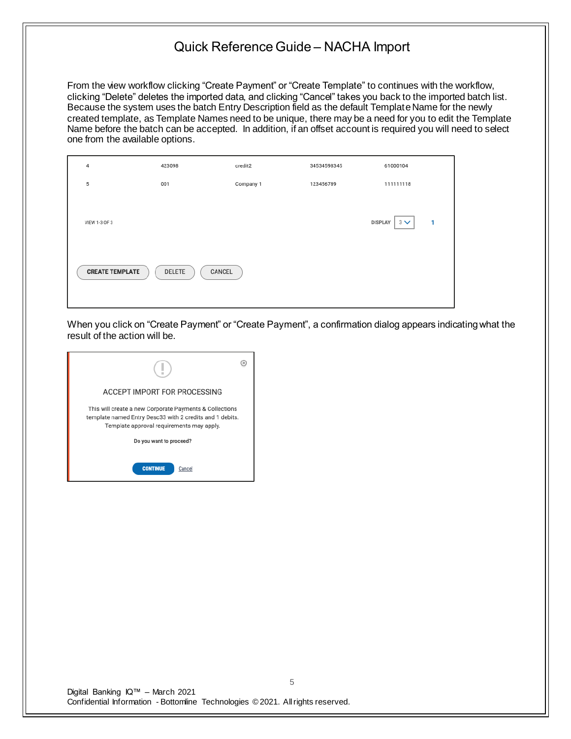From the view workflow clicking "Create Payment" or "Create Template" to continues with the workflow, clicking "Delete" deletes the imported data, and clicking "Cancel" takes you back to the imported batch list. Because the system uses the batch Entry Description field as the default Template Name for the newly created template, as Template Names need to be unique, there may be a need for you to edit the Template Name before the batch can be accepted. In addition, if an offset account is required you will need to select one from the available options.

| 4                      | 423098           | credit2   | 34534598345 | 61000104                                   |
|------------------------|------------------|-----------|-------------|--------------------------------------------|
| 5                      | 001              | Company 1 | 123456789   | 111111118                                  |
| VIEW 1-3 OF 3          |                  |           |             | <b>DISPLAY</b><br>$3 \vee$<br>$\mathbf{1}$ |
| <b>CREATE TEMPLATE</b> | DELETE<br>CANCEL |           |             |                                            |

When you click on "Create Payment" or "Create Payment", a confirmation dialog appears indicating what the result of the action will be.

| ACCEPT IMPORT FOR PROCESSING                                                                                                                                     |  |
|------------------------------------------------------------------------------------------------------------------------------------------------------------------|--|
| This will create a new Corporate Payments & Collections<br>template named Entry Desc33 with 2 credits and 1 debits.<br>Template approval requirements may apply. |  |
| Do you want to proceed?                                                                                                                                          |  |
| <b>CONTINUE</b><br>Cancel                                                                                                                                        |  |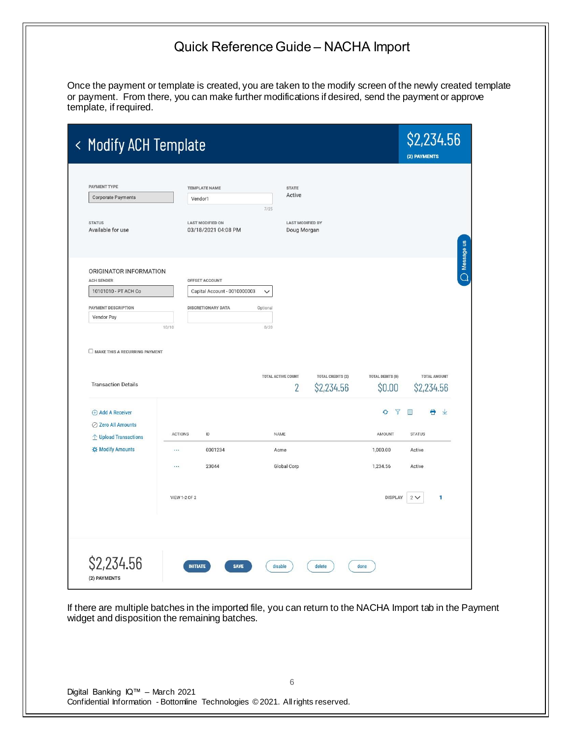Once the payment or template is created, you are taken to the modify screen of the newly created template or payment. From there, you can make further modifications if desired, send the payment or approve template, if required.

| < Modify ACH Template                                                                   |                                                |                                                                                |                                   | \$2,234.56<br>(2) PAYMENTS        |
|-----------------------------------------------------------------------------------------|------------------------------------------------|--------------------------------------------------------------------------------|-----------------------------------|-----------------------------------|
| PAYMENT TYPE<br><b>Corporate Payments</b>                                               | <b>TEMPLATE NAME</b><br>Vendor1                | <b>STATE</b><br>Active<br>7/25                                                 |                                   |                                   |
| <b>STATUS</b><br>Available for use                                                      | <b>LAST MODIFIED ON</b><br>03/18/2021 04:08 PM | <b>LAST MODIFIED BY</b><br>Doug Morgan                                         |                                   |                                   |
| ORIGINATOR INFORMATION<br><b>ACH SENDER</b><br>10101010 - PT ACH Co                     | OFFSET ACCOUNT<br>Capital Account - 0010000003 | $\checkmark$                                                                   |                                   |                                   |
| PAYMENT DESCRIPTION<br>Vendor Pay                                                       | <b>DISCRETIONARY DATA</b><br>10/10             | Optional<br>0/20                                                               |                                   |                                   |
| MAKE THIS A RECURRING PAYMENT<br><b>Transaction Details</b>                             |                                                | TOTAL ACTIVE COUNT<br><b>TOTAL CREDITS (2)</b><br>$\overline{2}$<br>\$2,234.56 | <b>TOTAL DEBITS (0)</b><br>\$0.00 | <b>TOTAL AMOUNT</b><br>\$2,234.56 |
| <b>E</b> Add A Receiver<br>⊘ Zero All Amounts<br>$\hat{\mathbb{L}}$ Upload Transactions | <b>ACTIONS</b><br>ID                           | NAME                                                                           | Y<br>$\Theta$<br>AMOUNT           | Ш<br>e<br>业<br><b>STATUS</b>      |
| <b>XX Modify Amounts</b>                                                                | 0001234<br>$\cdots$<br>23044<br>               | Acme<br>Global Corp                                                            | 1,000.00<br>1,234.56              | Active<br>Active                  |
|                                                                                         | <b>VIEW 1-2 OF 2</b>                           |                                                                                | <b>DISPLAY</b>                    | 2V<br>1                           |
| \$2,234.56                                                                              | <b>INITIATE</b><br><b>SAVE</b>                 | disable<br>delete                                                              | done                              |                                   |

If there are multiple batches in the imported file, you can return to the NACHA Import tab in the Payment widget and disposition the remaining batches.

6